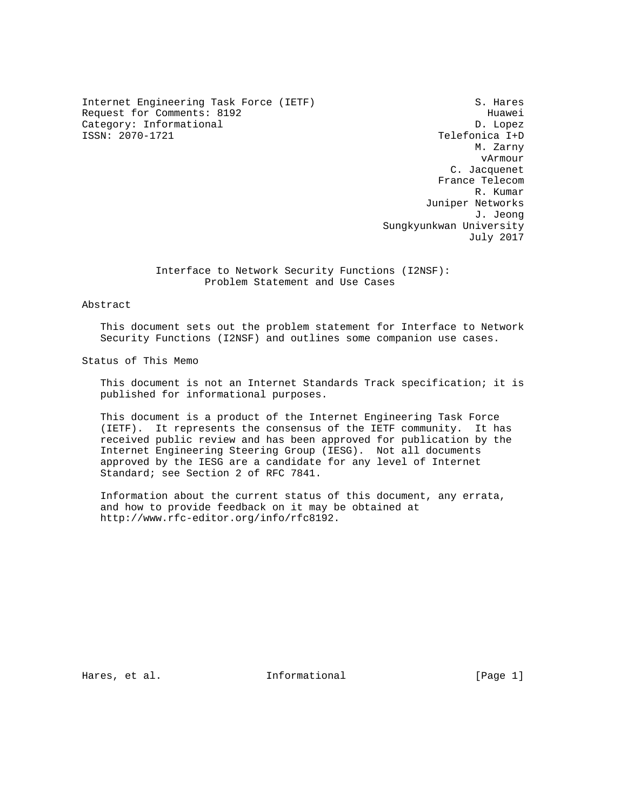Internet Engineering Task Force (IETF) S. Hares Request for Comments: 8192 Huawei Category: Informational D. Lopez<br>
ISSN: 2070-1721 CSSN: 2070-1721

Telefonica I+D M. Zarny vArmour C. Jacquenet France Telecom R. Kumar Juniper Networks J. Jeong Sungkyunkwan University July 2017

> Interface to Network Security Functions (I2NSF): Problem Statement and Use Cases

Abstract

 This document sets out the problem statement for Interface to Network Security Functions (I2NSF) and outlines some companion use cases.

Status of This Memo

 This document is not an Internet Standards Track specification; it is published for informational purposes.

 This document is a product of the Internet Engineering Task Force (IETF). It represents the consensus of the IETF community. It has received public review and has been approved for publication by the Internet Engineering Steering Group (IESG). Not all documents approved by the IESG are a candidate for any level of Internet Standard; see Section 2 of RFC 7841.

 Information about the current status of this document, any errata, and how to provide feedback on it may be obtained at http://www.rfc-editor.org/info/rfc8192.

Hares, et al.  $I_n$  Informational informational [Page 1]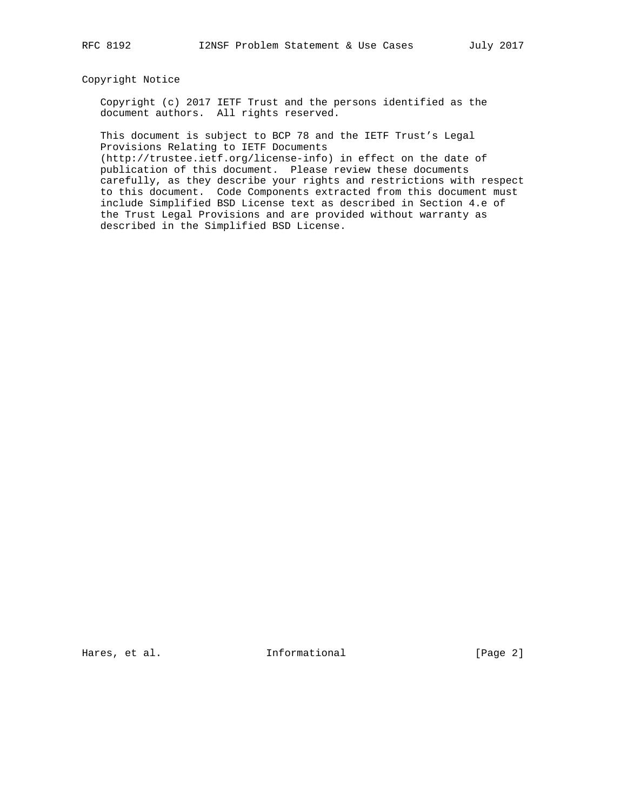## Copyright Notice

 Copyright (c) 2017 IETF Trust and the persons identified as the document authors. All rights reserved.

 This document is subject to BCP 78 and the IETF Trust's Legal Provisions Relating to IETF Documents

 (http://trustee.ietf.org/license-info) in effect on the date of publication of this document. Please review these documents carefully, as they describe your rights and restrictions with respect to this document. Code Components extracted from this document must include Simplified BSD License text as described in Section 4.e of the Trust Legal Provisions and are provided without warranty as described in the Simplified BSD License.

Hares, et al. The Informational The Informational [Page 2]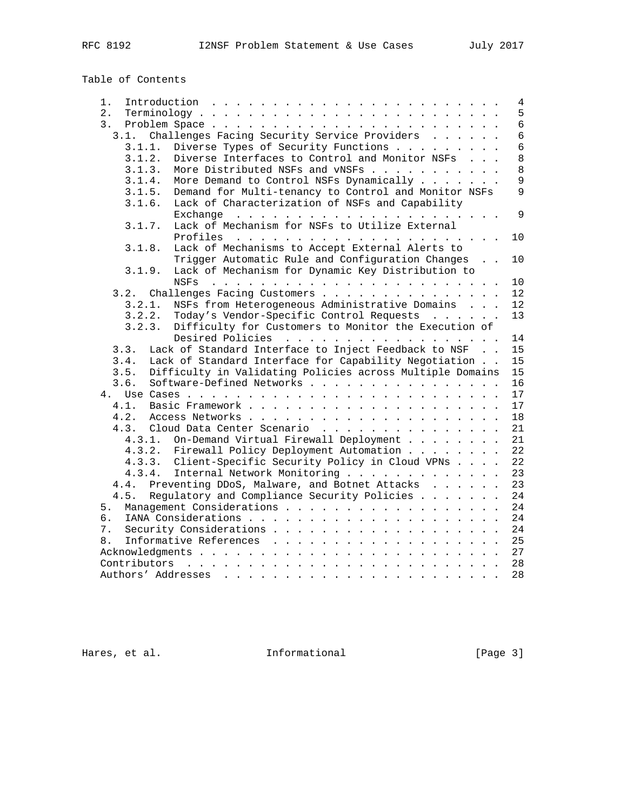# Table of Contents

| 1.                                                                                 | 4              |
|------------------------------------------------------------------------------------|----------------|
| 2.<br>$Terminology \ldots \ldots \ldots \ldots \ldots \ldots \ldots \ldots \ldots$ | 5              |
| 3.                                                                                 | $6\phantom{a}$ |
| 3.1. Challenges Facing Security Service Providers                                  | 6              |
| Diverse Types of Security Functions<br>3.1.1.                                      | 6              |
| Diverse Interfaces to Control and Monitor NSFs<br>3.1.2.                           | 8              |
| More Distributed NSFs and vNSFs<br>3.1.3.                                          | 8              |
| More Demand to Control NSFs Dynamically<br>3.1.4.                                  | 9              |
| 3.1.5.<br>Demand for Multi-tenancy to Control and Monitor NSFs                     | $\overline{9}$ |
| Lack of Characterization of NSFs and Capability<br>3.1.6.                          |                |
|                                                                                    | 9              |
| Lack of Mechanism for NSFs to Utilize External<br>3.1.7.                           |                |
|                                                                                    | 10             |
| Lack of Mechanisms to Accept External Alerts to<br>3.1.8.                          |                |
| Trigger Automatic Rule and Configuration Changes                                   | 10             |
| Lack of Mechanism for Dynamic Key Distribution to<br>3.1.9.                        |                |
|                                                                                    | 10             |
| 3.2. Challenges Facing Customers                                                   | $12 \,$        |
| NSFs from Heterogeneous Administrative Domains<br>3.2.1.                           | 12             |
|                                                                                    |                |
| Today's Vendor-Specific Control Requests<br>3.2.2.                                 | 13             |
| Difficulty for Customers to Monitor the Execution of<br>3.2.3.                     |                |
| Desired Policies                                                                   | 14             |
| Lack of Standard Interface to Inject Feedback to NSF<br>3.3.                       | 15             |
| Lack of Standard Interface for Capability Negotiation<br>3.4.                      | 15             |
| Difficulty in Validating Policies across Multiple Domains<br>3.5.                  | 15             |
| 3.6.<br>Software-Defined Networks                                                  | 16             |
|                                                                                    | 17             |
|                                                                                    | 17             |
| 4.2.                                                                               | 18             |
| 4.3.<br>Cloud Data Center Scenario                                                 | 21             |
| 4.3.1. On-Demand Virtual Firewall Deployment                                       | 21             |
| 4.3.2. Firewall Policy Deployment Automation                                       | 22             |
| 4.3.3. Client-Specific Security Policy in Cloud VPNs                               | 22             |
| 4.3.4.<br>Internal Network Monitoring                                              | 23             |
| Preventing DDoS, Malware, and Botnet Attacks<br>4.4.                               | 23             |
| 4.5. Regulatory and Compliance Security Policies                                   | 24             |
| 5.                                                                                 | 24             |
| б.                                                                                 | 24             |
| 7.                                                                                 | 24             |
| 8.                                                                                 | 25             |
|                                                                                    | 27             |
|                                                                                    | 28             |
|                                                                                    | 28             |

Hares, et al. 1nformational 1999 [Page 3]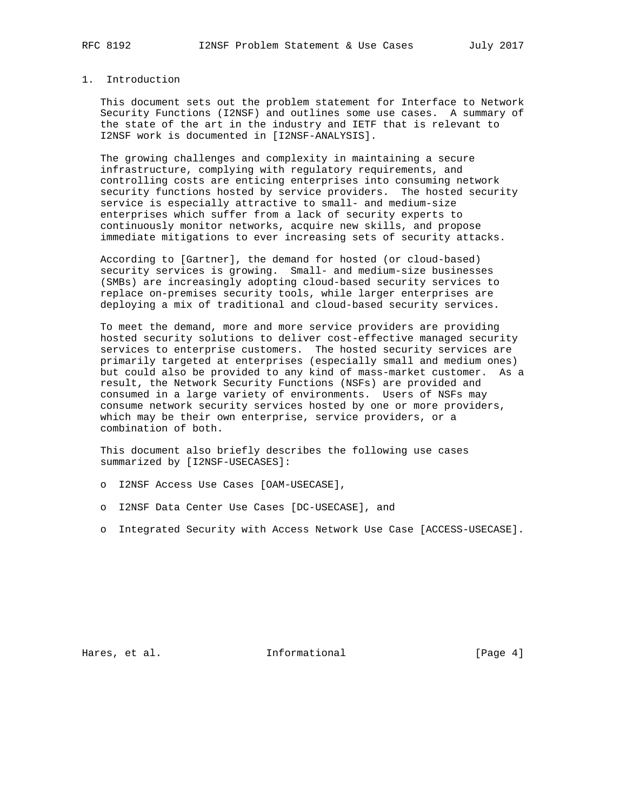# 1. Introduction

 This document sets out the problem statement for Interface to Network Security Functions (I2NSF) and outlines some use cases. A summary of the state of the art in the industry and IETF that is relevant to I2NSF work is documented in [I2NSF-ANALYSIS].

 The growing challenges and complexity in maintaining a secure infrastructure, complying with regulatory requirements, and controlling costs are enticing enterprises into consuming network security functions hosted by service providers. The hosted security service is especially attractive to small- and medium-size enterprises which suffer from a lack of security experts to continuously monitor networks, acquire new skills, and propose immediate mitigations to ever increasing sets of security attacks.

 According to [Gartner], the demand for hosted (or cloud-based) security services is growing. Small- and medium-size businesses (SMBs) are increasingly adopting cloud-based security services to replace on-premises security tools, while larger enterprises are deploying a mix of traditional and cloud-based security services.

 To meet the demand, more and more service providers are providing hosted security solutions to deliver cost-effective managed security services to enterprise customers. The hosted security services are primarily targeted at enterprises (especially small and medium ones) but could also be provided to any kind of mass-market customer. As a result, the Network Security Functions (NSFs) are provided and consumed in a large variety of environments. Users of NSFs may consume network security services hosted by one or more providers, which may be their own enterprise, service providers, or a combination of both.

 This document also briefly describes the following use cases summarized by [I2NSF-USECASES]:

o I2NSF Access Use Cases [OAM-USECASE],

- o I2NSF Data Center Use Cases [DC-USECASE], and
- o Integrated Security with Access Network Use Case [ACCESS-USECASE].

Hares, et al. 1nformational 1999 [Page 4]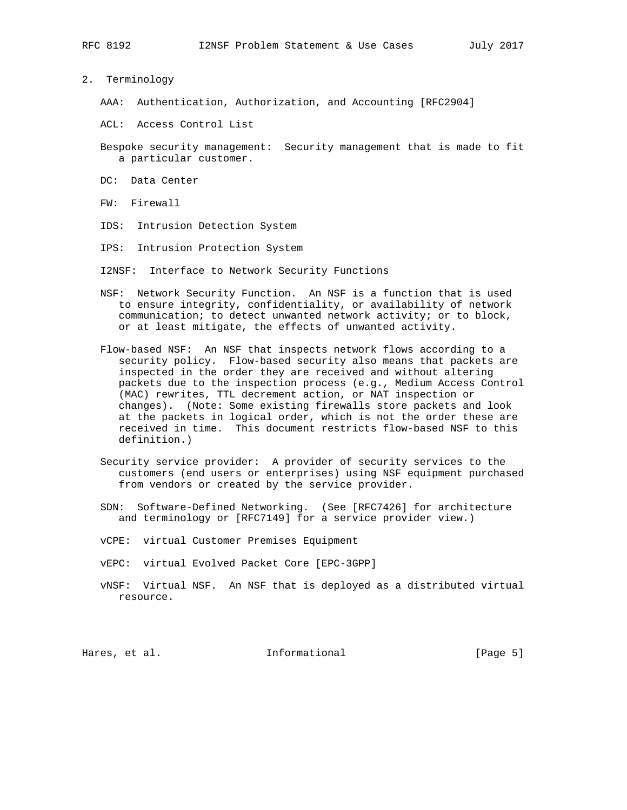2. Terminology

AAA: Authentication, Authorization, and Accounting [RFC2904]

- ACL: Access Control List
- Bespoke security management: Security management that is made to fit a particular customer.
- DC: Data Center
- FW: Firewall
- IDS: Intrusion Detection System
- IPS: Intrusion Protection System
- I2NSF: Interface to Network Security Functions
- NSF: Network Security Function. An NSF is a function that is used to ensure integrity, confidentiality, or availability of network communication; to detect unwanted network activity; or to block, or at least mitigate, the effects of unwanted activity.
- Flow-based NSF: An NSF that inspects network flows according to a security policy. Flow-based security also means that packets are inspected in the order they are received and without altering packets due to the inspection process (e.g., Medium Access Control (MAC) rewrites, TTL decrement action, or NAT inspection or changes). (Note: Some existing firewalls store packets and look at the packets in logical order, which is not the order these are received in time. This document restricts flow-based NSF to this definition.)
- Security service provider: A provider of security services to the customers (end users or enterprises) using NSF equipment purchased from vendors or created by the service provider.
- SDN: Software-Defined Networking. (See [RFC7426] for architecture and terminology or [RFC7149] for a service provider view.)
- vCPE: virtual Customer Premises Equipment
- vEPC: virtual Evolved Packet Core [EPC-3GPP]
- vNSF: Virtual NSF. An NSF that is deployed as a distributed virtual resource.

Hares, et al. The Informational The Lage 5]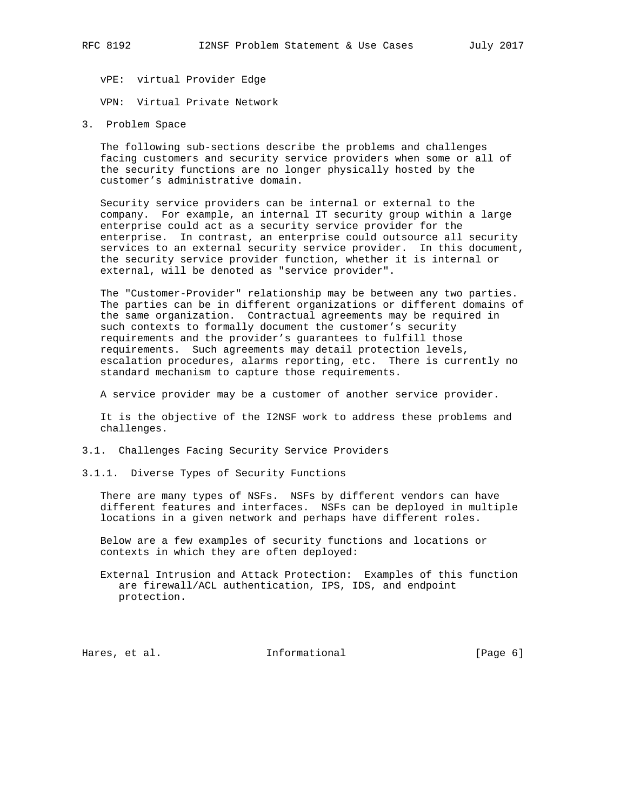vPE: virtual Provider Edge

VPN: Virtual Private Network

3. Problem Space

 The following sub-sections describe the problems and challenges facing customers and security service providers when some or all of the security functions are no longer physically hosted by the customer's administrative domain.

 Security service providers can be internal or external to the company. For example, an internal IT security group within a large enterprise could act as a security service provider for the enterprise. In contrast, an enterprise could outsource all security services to an external security service provider. In this document, the security service provider function, whether it is internal or external, will be denoted as "service provider".

 The "Customer-Provider" relationship may be between any two parties. The parties can be in different organizations or different domains of the same organization. Contractual agreements may be required in such contexts to formally document the customer's security requirements and the provider's guarantees to fulfill those requirements. Such agreements may detail protection levels, escalation procedures, alarms reporting, etc. There is currently no standard mechanism to capture those requirements.

A service provider may be a customer of another service provider.

 It is the objective of the I2NSF work to address these problems and challenges.

- 3.1. Challenges Facing Security Service Providers
- 3.1.1. Diverse Types of Security Functions

 There are many types of NSFs. NSFs by different vendors can have different features and interfaces. NSFs can be deployed in multiple locations in a given network and perhaps have different roles.

 Below are a few examples of security functions and locations or contexts in which they are often deployed:

 External Intrusion and Attack Protection: Examples of this function are firewall/ACL authentication, IPS, IDS, and endpoint protection.

Hares, et al. 1nformational 1999 [Page 6]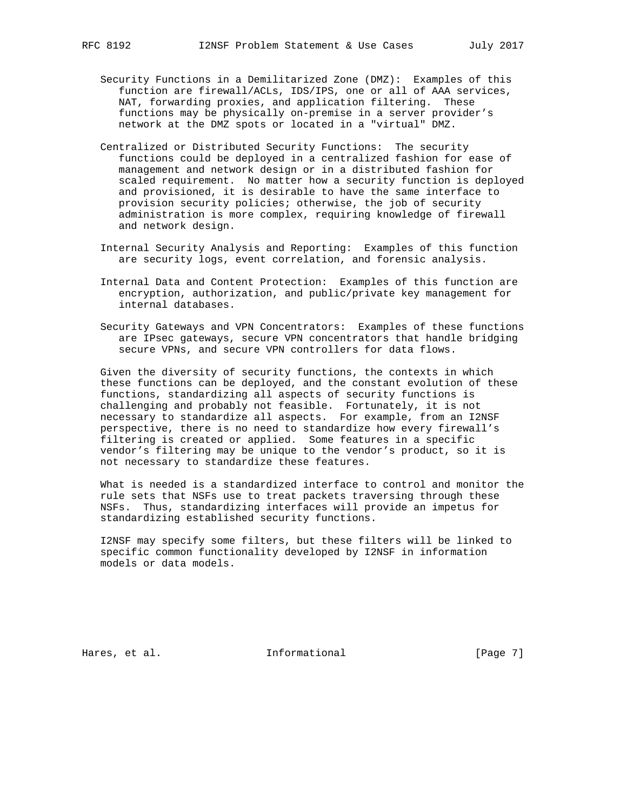- Security Functions in a Demilitarized Zone (DMZ): Examples of this function are firewall/ACLs, IDS/IPS, one or all of AAA services, NAT, forwarding proxies, and application filtering. These functions may be physically on-premise in a server provider's network at the DMZ spots or located in a "virtual" DMZ.
- Centralized or Distributed Security Functions: The security functions could be deployed in a centralized fashion for ease of management and network design or in a distributed fashion for scaled requirement. No matter how a security function is deployed and provisioned, it is desirable to have the same interface to provision security policies; otherwise, the job of security administration is more complex, requiring knowledge of firewall and network design.
- Internal Security Analysis and Reporting: Examples of this function are security logs, event correlation, and forensic analysis.
- Internal Data and Content Protection: Examples of this function are encryption, authorization, and public/private key management for internal databases.
- Security Gateways and VPN Concentrators: Examples of these functions are IPsec gateways, secure VPN concentrators that handle bridging secure VPNs, and secure VPN controllers for data flows.

 Given the diversity of security functions, the contexts in which these functions can be deployed, and the constant evolution of these functions, standardizing all aspects of security functions is challenging and probably not feasible. Fortunately, it is not necessary to standardize all aspects. For example, from an I2NSF perspective, there is no need to standardize how every firewall's filtering is created or applied. Some features in a specific vendor's filtering may be unique to the vendor's product, so it is not necessary to standardize these features.

 What is needed is a standardized interface to control and monitor the rule sets that NSFs use to treat packets traversing through these NSFs. Thus, standardizing interfaces will provide an impetus for standardizing established security functions.

 I2NSF may specify some filters, but these filters will be linked to specific common functionality developed by I2NSF in information models or data models.

Hares, et al. 1nformational 1999 [Page 7]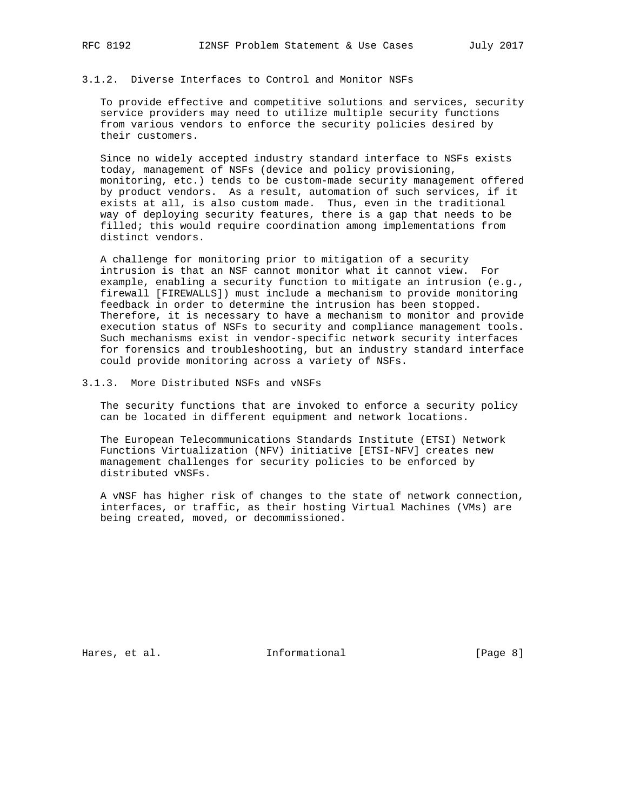# 3.1.2. Diverse Interfaces to Control and Monitor NSFs

 To provide effective and competitive solutions and services, security service providers may need to utilize multiple security functions from various vendors to enforce the security policies desired by their customers.

 Since no widely accepted industry standard interface to NSFs exists today, management of NSFs (device and policy provisioning, monitoring, etc.) tends to be custom-made security management offered by product vendors. As a result, automation of such services, if it exists at all, is also custom made. Thus, even in the traditional way of deploying security features, there is a gap that needs to be filled; this would require coordination among implementations from distinct vendors.

 A challenge for monitoring prior to mitigation of a security intrusion is that an NSF cannot monitor what it cannot view. For example, enabling a security function to mitigate an intrusion (e.g., firewall [FIREWALLS]) must include a mechanism to provide monitoring feedback in order to determine the intrusion has been stopped. Therefore, it is necessary to have a mechanism to monitor and provide execution status of NSFs to security and compliance management tools. Such mechanisms exist in vendor-specific network security interfaces for forensics and troubleshooting, but an industry standard interface could provide monitoring across a variety of NSFs.

3.1.3. More Distributed NSFs and vNSFs

 The security functions that are invoked to enforce a security policy can be located in different equipment and network locations.

 The European Telecommunications Standards Institute (ETSI) Network Functions Virtualization (NFV) initiative [ETSI-NFV] creates new management challenges for security policies to be enforced by distributed vNSFs.

 A vNSF has higher risk of changes to the state of network connection, interfaces, or traffic, as their hosting Virtual Machines (VMs) are being created, moved, or decommissioned.

Hares, et al. 1nformational 1999 [Page 8]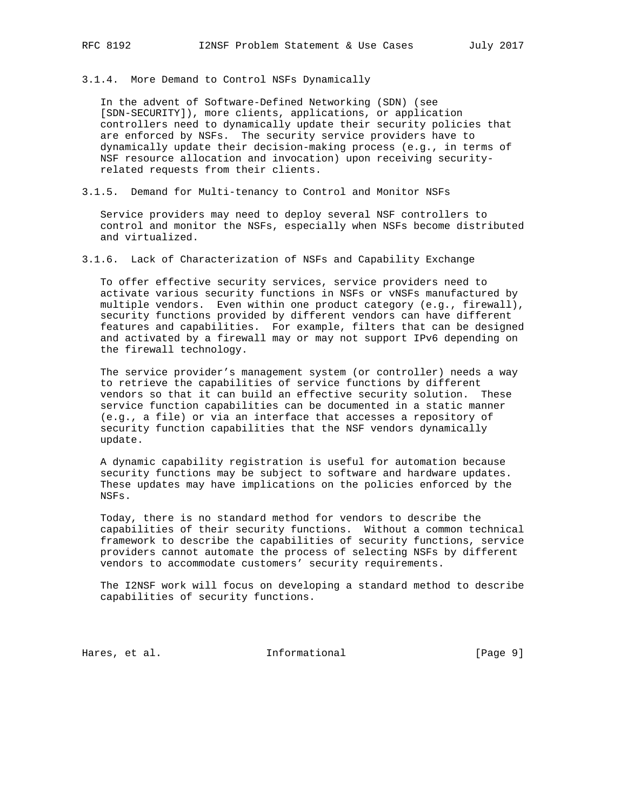3.1.4. More Demand to Control NSFs Dynamically

 In the advent of Software-Defined Networking (SDN) (see [SDN-SECURITY]), more clients, applications, or application controllers need to dynamically update their security policies that are enforced by NSFs. The security service providers have to dynamically update their decision-making process (e.g., in terms of NSF resource allocation and invocation) upon receiving security related requests from their clients.

3.1.5. Demand for Multi-tenancy to Control and Monitor NSFs

 Service providers may need to deploy several NSF controllers to control and monitor the NSFs, especially when NSFs become distributed and virtualized.

3.1.6. Lack of Characterization of NSFs and Capability Exchange

 To offer effective security services, service providers need to activate various security functions in NSFs or vNSFs manufactured by multiple vendors. Even within one product category (e.g., firewall), security functions provided by different vendors can have different features and capabilities. For example, filters that can be designed and activated by a firewall may or may not support IPv6 depending on the firewall technology.

 The service provider's management system (or controller) needs a way to retrieve the capabilities of service functions by different vendors so that it can build an effective security solution. These service function capabilities can be documented in a static manner (e.g., a file) or via an interface that accesses a repository of security function capabilities that the NSF vendors dynamically update.

 A dynamic capability registration is useful for automation because security functions may be subject to software and hardware updates. These updates may have implications on the policies enforced by the NSFs.

 Today, there is no standard method for vendors to describe the capabilities of their security functions. Without a common technical framework to describe the capabilities of security functions, service providers cannot automate the process of selecting NSFs by different vendors to accommodate customers' security requirements.

 The I2NSF work will focus on developing a standard method to describe capabilities of security functions.

Hares, et al.  $Informational$  [Page 9]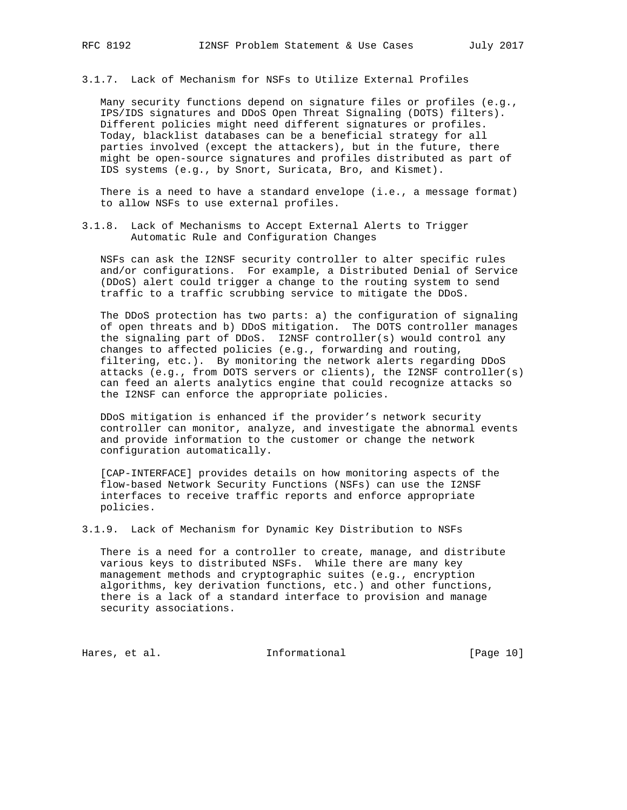3.1.7. Lack of Mechanism for NSFs to Utilize External Profiles

 Many security functions depend on signature files or profiles (e.g., IPS/IDS signatures and DDoS Open Threat Signaling (DOTS) filters). Different policies might need different signatures or profiles. Today, blacklist databases can be a beneficial strategy for all parties involved (except the attackers), but in the future, there might be open-source signatures and profiles distributed as part of IDS systems (e.g., by Snort, Suricata, Bro, and Kismet).

There is a need to have a standard envelope (i.e., a message format) to allow NSFs to use external profiles.

3.1.8. Lack of Mechanisms to Accept External Alerts to Trigger Automatic Rule and Configuration Changes

 NSFs can ask the I2NSF security controller to alter specific rules and/or configurations. For example, a Distributed Denial of Service (DDoS) alert could trigger a change to the routing system to send traffic to a traffic scrubbing service to mitigate the DDoS.

 The DDoS protection has two parts: a) the configuration of signaling of open threats and b) DDoS mitigation. The DOTS controller manages the signaling part of DDoS. I2NSF controller(s) would control any changes to affected policies (e.g., forwarding and routing, filtering, etc.). By monitoring the network alerts regarding DDoS attacks (e.g., from DOTS servers or clients), the I2NSF controller(s) can feed an alerts analytics engine that could recognize attacks so the I2NSF can enforce the appropriate policies.

 DDoS mitigation is enhanced if the provider's network security controller can monitor, analyze, and investigate the abnormal events and provide information to the customer or change the network configuration automatically.

 [CAP-INTERFACE] provides details on how monitoring aspects of the flow-based Network Security Functions (NSFs) can use the I2NSF interfaces to receive traffic reports and enforce appropriate policies.

3.1.9. Lack of Mechanism for Dynamic Key Distribution to NSFs

 There is a need for a controller to create, manage, and distribute various keys to distributed NSFs. While there are many key management methods and cryptographic suites (e.g., encryption algorithms, key derivation functions, etc.) and other functions, there is a lack of a standard interface to provision and manage security associations.

Hares, et al. 10 methormational [Page 10]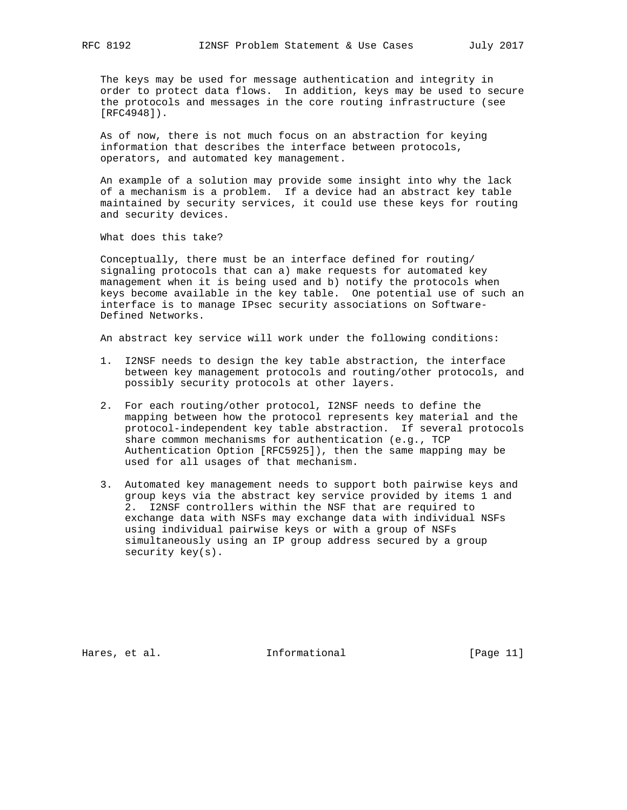The keys may be used for message authentication and integrity in order to protect data flows. In addition, keys may be used to secure the protocols and messages in the core routing infrastructure (see [RFC4948]).

 As of now, there is not much focus on an abstraction for keying information that describes the interface between protocols, operators, and automated key management.

 An example of a solution may provide some insight into why the lack of a mechanism is a problem. If a device had an abstract key table maintained by security services, it could use these keys for routing and security devices.

What does this take?

 Conceptually, there must be an interface defined for routing/ signaling protocols that can a) make requests for automated key management when it is being used and b) notify the protocols when keys become available in the key table. One potential use of such an interface is to manage IPsec security associations on Software- Defined Networks.

An abstract key service will work under the following conditions:

- 1. I2NSF needs to design the key table abstraction, the interface between key management protocols and routing/other protocols, and possibly security protocols at other layers.
- 2. For each routing/other protocol, I2NSF needs to define the mapping between how the protocol represents key material and the protocol-independent key table abstraction. If several protocols share common mechanisms for authentication (e.g., TCP Authentication Option [RFC5925]), then the same mapping may be used for all usages of that mechanism.
- 3. Automated key management needs to support both pairwise keys and group keys via the abstract key service provided by items 1 and 2. I2NSF controllers within the NSF that are required to exchange data with NSFs may exchange data with individual NSFs using individual pairwise keys or with a group of NSFs simultaneously using an IP group address secured by a group security key(s).

Hares, et al. 10 methormational [Page 11]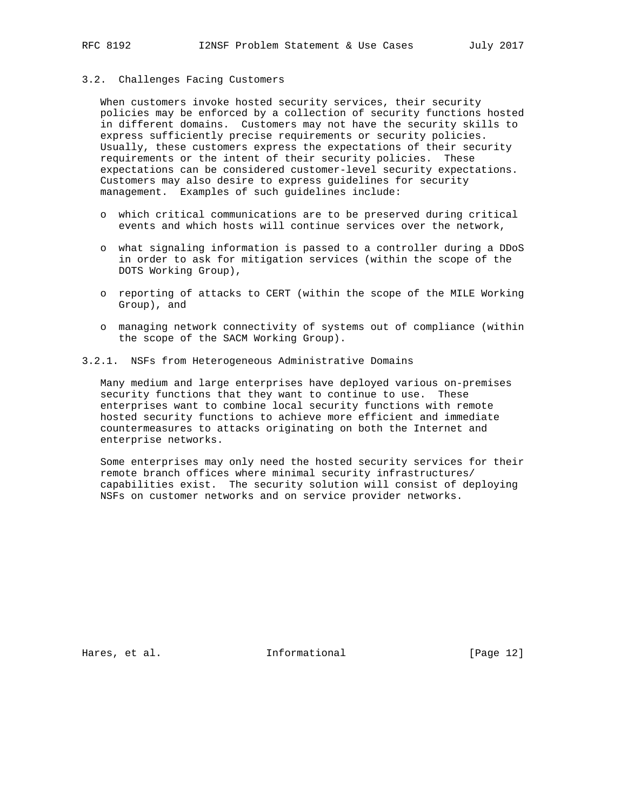#### 3.2. Challenges Facing Customers

 When customers invoke hosted security services, their security policies may be enforced by a collection of security functions hosted in different domains. Customers may not have the security skills to express sufficiently precise requirements or security policies. Usually, these customers express the expectations of their security requirements or the intent of their security policies. These expectations can be considered customer-level security expectations. Customers may also desire to express guidelines for security management. Examples of such guidelines include:

- o which critical communications are to be preserved during critical events and which hosts will continue services over the network,
- o what signaling information is passed to a controller during a DDoS in order to ask for mitigation services (within the scope of the DOTS Working Group),
- o reporting of attacks to CERT (within the scope of the MILE Working Group), and
- o managing network connectivity of systems out of compliance (within the scope of the SACM Working Group).
- 3.2.1. NSFs from Heterogeneous Administrative Domains

 Many medium and large enterprises have deployed various on-premises security functions that they want to continue to use. These enterprises want to combine local security functions with remote hosted security functions to achieve more efficient and immediate countermeasures to attacks originating on both the Internet and enterprise networks.

 Some enterprises may only need the hosted security services for their remote branch offices where minimal security infrastructures/ capabilities exist. The security solution will consist of deploying NSFs on customer networks and on service provider networks.

Hares, et al. 1nformational [Page 12]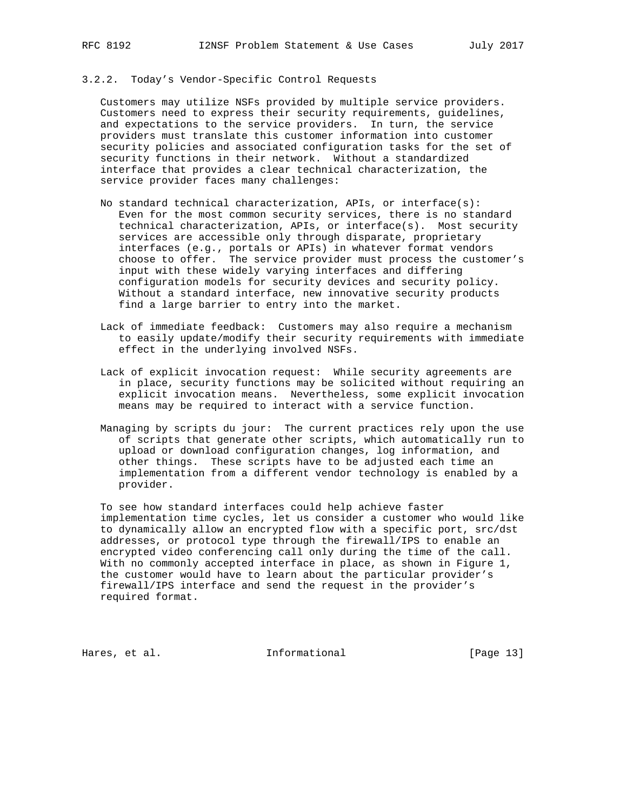## 3.2.2. Today's Vendor-Specific Control Requests

 Customers may utilize NSFs provided by multiple service providers. Customers need to express their security requirements, guidelines, and expectations to the service providers. In turn, the service providers must translate this customer information into customer security policies and associated configuration tasks for the set of security functions in their network. Without a standardized interface that provides a clear technical characterization, the service provider faces many challenges:

- No standard technical characterization, APIs, or interface(s): Even for the most common security services, there is no standard technical characterization, APIs, or interface(s). Most security services are accessible only through disparate, proprietary interfaces (e.g., portals or APIs) in whatever format vendors choose to offer. The service provider must process the customer's input with these widely varying interfaces and differing configuration models for security devices and security policy. Without a standard interface, new innovative security products find a large barrier to entry into the market.
- Lack of immediate feedback: Customers may also require a mechanism to easily update/modify their security requirements with immediate effect in the underlying involved NSFs.
- Lack of explicit invocation request: While security agreements are in place, security functions may be solicited without requiring an explicit invocation means. Nevertheless, some explicit invocation means may be required to interact with a service function.
- Managing by scripts du jour: The current practices rely upon the use of scripts that generate other scripts, which automatically run to upload or download configuration changes, log information, and other things. These scripts have to be adjusted each time an implementation from a different vendor technology is enabled by a provider.

 To see how standard interfaces could help achieve faster implementation time cycles, let us consider a customer who would like to dynamically allow an encrypted flow with a specific port, src/dst addresses, or protocol type through the firewall/IPS to enable an encrypted video conferencing call only during the time of the call. With no commonly accepted interface in place, as shown in Figure 1, the customer would have to learn about the particular provider's firewall/IPS interface and send the request in the provider's required format.

Hares, et al. 10 Informational [Page 13]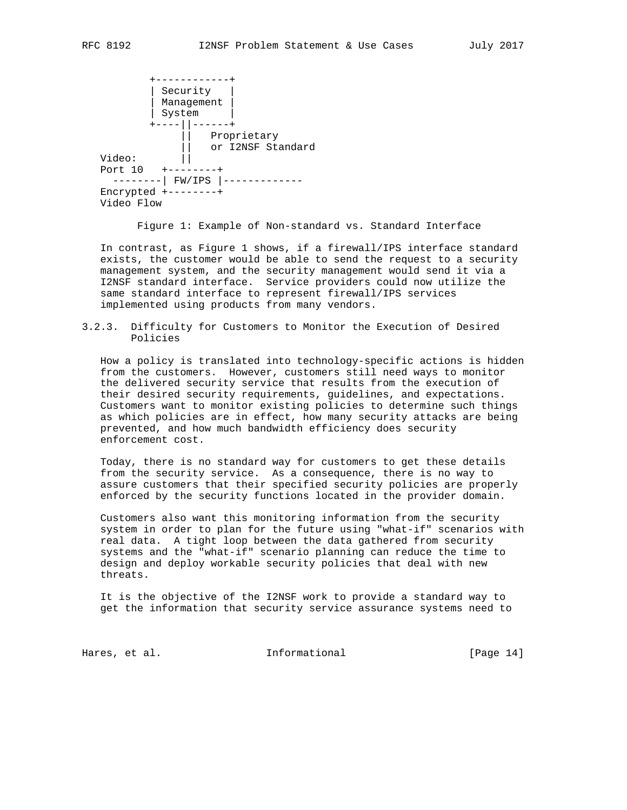+------------+ | Security | | Management | | System | +----||------+ Proprietary || or I2NSF Standard Video: || Port 10 +--------+ --------| FW/IPS |------------- Encrypted +--------+ Video Flow

Figure 1: Example of Non-standard vs. Standard Interface

 In contrast, as Figure 1 shows, if a firewall/IPS interface standard exists, the customer would be able to send the request to a security management system, and the security management would send it via a I2NSF standard interface. Service providers could now utilize the same standard interface to represent firewall/IPS services implemented using products from many vendors.

3.2.3. Difficulty for Customers to Monitor the Execution of Desired Policies

 How a policy is translated into technology-specific actions is hidden from the customers. However, customers still need ways to monitor the delivered security service that results from the execution of their desired security requirements, guidelines, and expectations. Customers want to monitor existing policies to determine such things as which policies are in effect, how many security attacks are being prevented, and how much bandwidth efficiency does security enforcement cost.

 Today, there is no standard way for customers to get these details from the security service. As a consequence, there is no way to assure customers that their specified security policies are properly enforced by the security functions located in the provider domain.

 Customers also want this monitoring information from the security system in order to plan for the future using "what-if" scenarios with real data. A tight loop between the data gathered from security systems and the "what-if" scenario planning can reduce the time to design and deploy workable security policies that deal with new threats.

 It is the objective of the I2NSF work to provide a standard way to get the information that security service assurance systems need to

Hares, et al. 10 Informational 1999 [Page 14]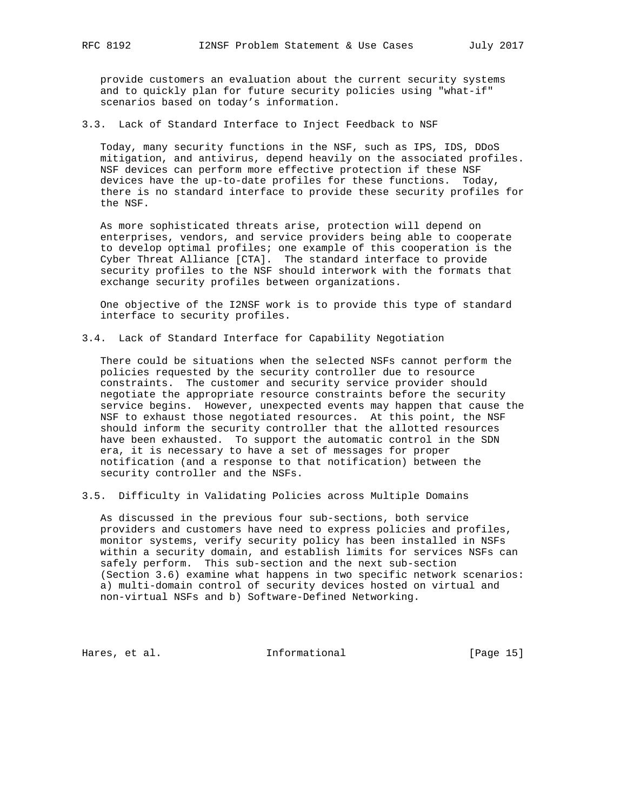provide customers an evaluation about the current security systems and to quickly plan for future security policies using "what-if" scenarios based on today's information.

3.3. Lack of Standard Interface to Inject Feedback to NSF

 Today, many security functions in the NSF, such as IPS, IDS, DDoS mitigation, and antivirus, depend heavily on the associated profiles. NSF devices can perform more effective protection if these NSF devices have the up-to-date profiles for these functions. Today, there is no standard interface to provide these security profiles for the NSF.

 As more sophisticated threats arise, protection will depend on enterprises, vendors, and service providers being able to cooperate to develop optimal profiles; one example of this cooperation is the Cyber Threat Alliance [CTA]. The standard interface to provide security profiles to the NSF should interwork with the formats that exchange security profiles between organizations.

 One objective of the I2NSF work is to provide this type of standard interface to security profiles.

3.4. Lack of Standard Interface for Capability Negotiation

 There could be situations when the selected NSFs cannot perform the policies requested by the security controller due to resource constraints. The customer and security service provider should negotiate the appropriate resource constraints before the security service begins. However, unexpected events may happen that cause the NSF to exhaust those negotiated resources. At this point, the NSF should inform the security controller that the allotted resources have been exhausted. To support the automatic control in the SDN era, it is necessary to have a set of messages for proper notification (and a response to that notification) between the security controller and the NSFs.

3.5. Difficulty in Validating Policies across Multiple Domains

 As discussed in the previous four sub-sections, both service providers and customers have need to express policies and profiles, monitor systems, verify security policy has been installed in NSFs within a security domain, and establish limits for services NSFs can safely perform. This sub-section and the next sub-section (Section 3.6) examine what happens in two specific network scenarios: a) multi-domain control of security devices hosted on virtual and non-virtual NSFs and b) Software-Defined Networking.

Hares, et al. 10 methormational [Page 15]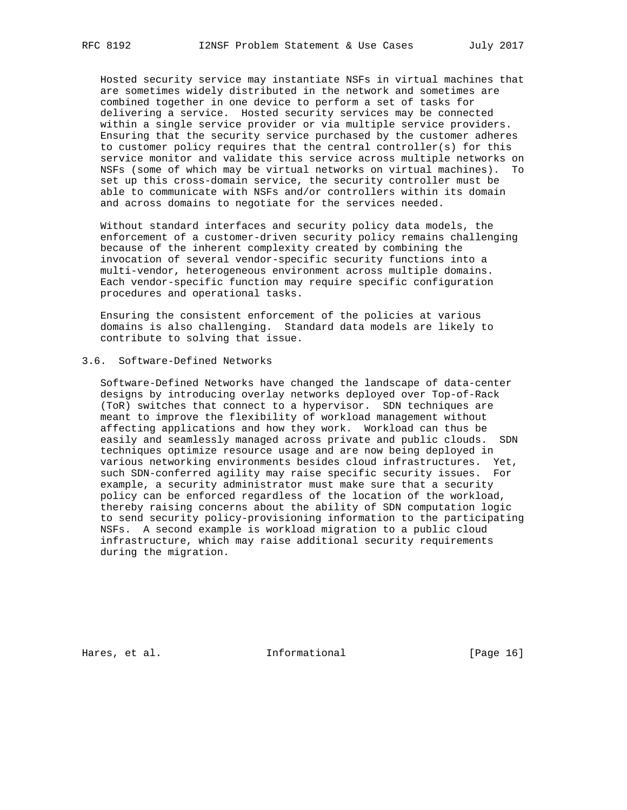Hosted security service may instantiate NSFs in virtual machines that are sometimes widely distributed in the network and sometimes are combined together in one device to perform a set of tasks for delivering a service. Hosted security services may be connected within a single service provider or via multiple service providers. Ensuring that the security service purchased by the customer adheres to customer policy requires that the central controller(s) for this service monitor and validate this service across multiple networks on NSFs (some of which may be virtual networks on virtual machines). To set up this cross-domain service, the security controller must be able to communicate with NSFs and/or controllers within its domain and across domains to negotiate for the services needed.

 Without standard interfaces and security policy data models, the enforcement of a customer-driven security policy remains challenging because of the inherent complexity created by combining the invocation of several vendor-specific security functions into a multi-vendor, heterogeneous environment across multiple domains. Each vendor-specific function may require specific configuration procedures and operational tasks.

 Ensuring the consistent enforcement of the policies at various domains is also challenging. Standard data models are likely to contribute to solving that issue.

# 3.6. Software-Defined Networks

 Software-Defined Networks have changed the landscape of data-center designs by introducing overlay networks deployed over Top-of-Rack (ToR) switches that connect to a hypervisor. SDN techniques are meant to improve the flexibility of workload management without affecting applications and how they work. Workload can thus be easily and seamlessly managed across private and public clouds. SDN techniques optimize resource usage and are now being deployed in various networking environments besides cloud infrastructures. Yet, such SDN-conferred agility may raise specific security issues. For example, a security administrator must make sure that a security policy can be enforced regardless of the location of the workload, thereby raising concerns about the ability of SDN computation logic to send security policy-provisioning information to the participating NSFs. A second example is workload migration to a public cloud infrastructure, which may raise additional security requirements during the migration.

Hares, et al. 10 methormational [Page 16]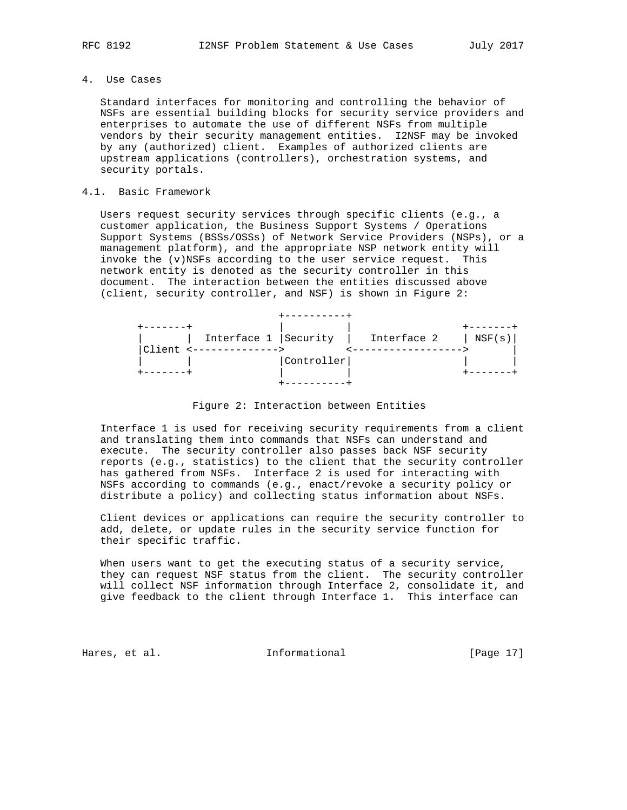# 4. Use Cases

 Standard interfaces for monitoring and controlling the behavior of NSFs are essential building blocks for security service providers and enterprises to automate the use of different NSFs from multiple vendors by their security management entities. I2NSF may be invoked by any (authorized) client. Examples of authorized clients are upstream applications (controllers), orchestration systems, and security portals.

#### 4.1. Basic Framework

 Users request security services through specific clients (e.g., a customer application, the Business Support Systems / Operations Support Systems (BSSs/OSSs) of Network Service Providers (NSPs), or a management platform), and the appropriate NSP network entity will invoke the (v)NSFs according to the user service request. This network entity is denoted as the security controller in this document. The interaction between the entities discussed above (client, security controller, and NSF) is shown in Figure 2:



Figure 2: Interaction between Entities

 Interface 1 is used for receiving security requirements from a client and translating them into commands that NSFs can understand and execute. The security controller also passes back NSF security reports (e.g., statistics) to the client that the security controller has gathered from NSFs. Interface 2 is used for interacting with NSFs according to commands (e.g., enact/revoke a security policy or distribute a policy) and collecting status information about NSFs.

 Client devices or applications can require the security controller to add, delete, or update rules in the security service function for their specific traffic.

 When users want to get the executing status of a security service, they can request NSF status from the client. The security controller will collect NSF information through Interface 2, consolidate it, and give feedback to the client through Interface 1. This interface can

Hares, et al. 10 methormational [Page 17]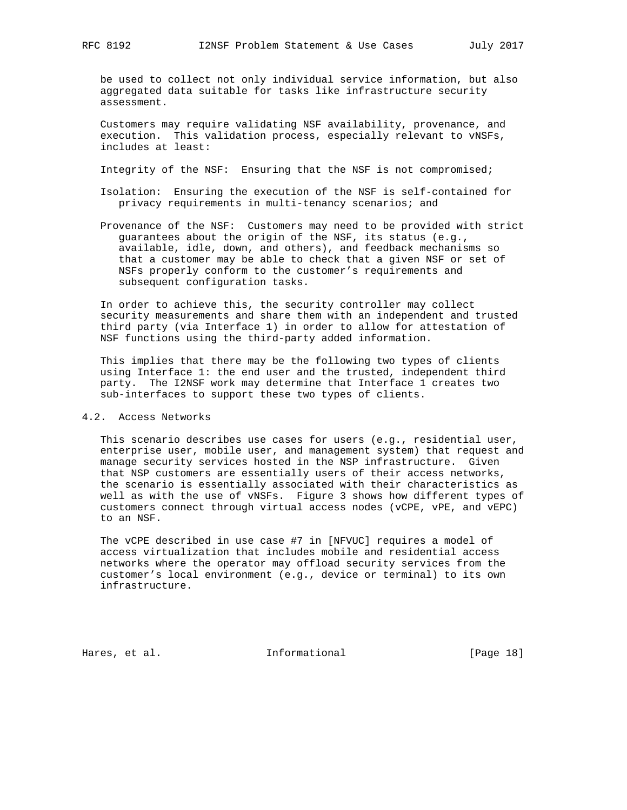be used to collect not only individual service information, but also aggregated data suitable for tasks like infrastructure security assessment.

 Customers may require validating NSF availability, provenance, and execution. This validation process, especially relevant to vNSFs, includes at least:

Integrity of the NSF: Ensuring that the NSF is not compromised;

- Isolation: Ensuring the execution of the NSF is self-contained for privacy requirements in multi-tenancy scenarios; and
- Provenance of the NSF: Customers may need to be provided with strict guarantees about the origin of the NSF, its status (e.g., available, idle, down, and others), and feedback mechanisms so that a customer may be able to check that a given NSF or set of NSFs properly conform to the customer's requirements and subsequent configuration tasks.

 In order to achieve this, the security controller may collect security measurements and share them with an independent and trusted third party (via Interface 1) in order to allow for attestation of NSF functions using the third-party added information.

 This implies that there may be the following two types of clients using Interface 1: the end user and the trusted, independent third party. The I2NSF work may determine that Interface 1 creates two sub-interfaces to support these two types of clients.

# 4.2. Access Networks

 This scenario describes use cases for users (e.g., residential user, enterprise user, mobile user, and management system) that request and manage security services hosted in the NSP infrastructure. Given that NSP customers are essentially users of their access networks, the scenario is essentially associated with their characteristics as well as with the use of vNSFs. Figure 3 shows how different types of customers connect through virtual access nodes (vCPE, vPE, and vEPC) to an NSF.

 The vCPE described in use case #7 in [NFVUC] requires a model of access virtualization that includes mobile and residential access networks where the operator may offload security services from the customer's local environment (e.g., device or terminal) to its own infrastructure.

Hares, et al. 10 Informational [Page 18]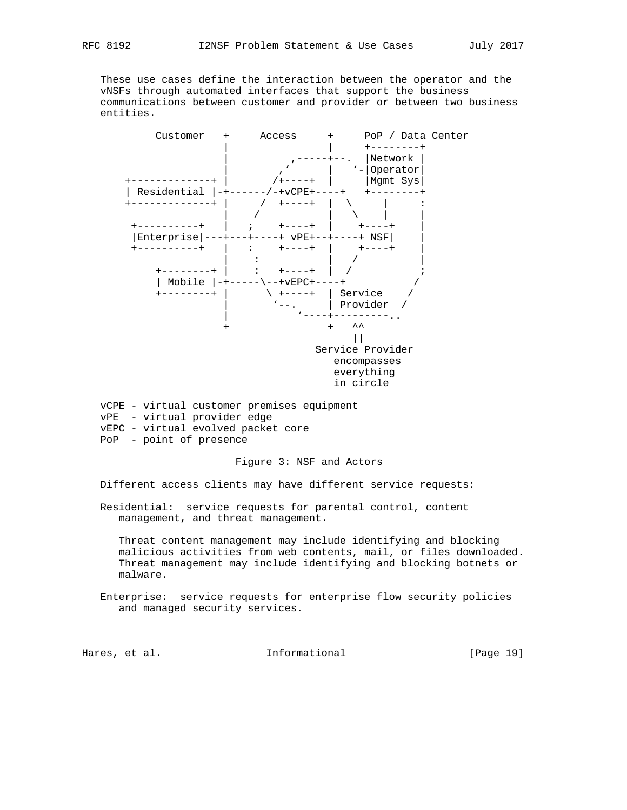These use cases define the interaction between the operator and the vNSFs through automated interfaces that support the business communications between customer and provider or between two business entities.



 vCPE - virtual customer premises equipment vPE - virtual provider edge vEPC - virtual evolved packet core PoP - point of presence

#### Figure 3: NSF and Actors

Different access clients may have different service requests:

 Residential: service requests for parental control, content management, and threat management.

 Threat content management may include identifying and blocking malicious activities from web contents, mail, or files downloaded. Threat management may include identifying and blocking botnets or malware.

 Enterprise: service requests for enterprise flow security policies and managed security services.

Hares, et al. 10 Informational [Page 19]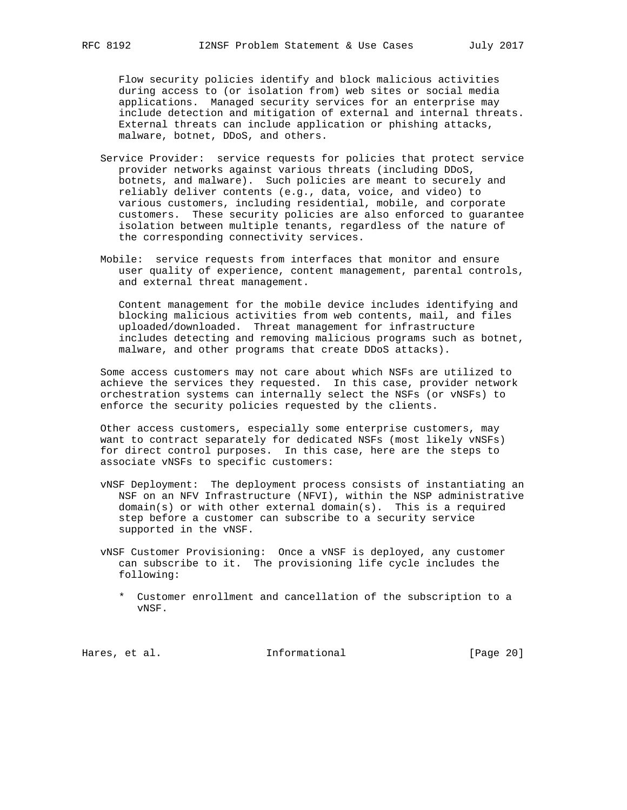Flow security policies identify and block malicious activities during access to (or isolation from) web sites or social media applications. Managed security services for an enterprise may include detection and mitigation of external and internal threats. External threats can include application or phishing attacks, malware, botnet, DDoS, and others.

- Service Provider: service requests for policies that protect service provider networks against various threats (including DDoS, botnets, and malware). Such policies are meant to securely and reliably deliver contents (e.g., data, voice, and video) to various customers, including residential, mobile, and corporate customers. These security policies are also enforced to guarantee isolation between multiple tenants, regardless of the nature of the corresponding connectivity services.
- Mobile: service requests from interfaces that monitor and ensure user quality of experience, content management, parental controls, and external threat management.

 Content management for the mobile device includes identifying and blocking malicious activities from web contents, mail, and files uploaded/downloaded. Threat management for infrastructure includes detecting and removing malicious programs such as botnet, malware, and other programs that create DDoS attacks).

 Some access customers may not care about which NSFs are utilized to achieve the services they requested. In this case, provider network orchestration systems can internally select the NSFs (or vNSFs) to enforce the security policies requested by the clients.

 Other access customers, especially some enterprise customers, may want to contract separately for dedicated NSFs (most likely vNSFs) for direct control purposes. In this case, here are the steps to associate vNSFs to specific customers:

 vNSF Deployment: The deployment process consists of instantiating an NSF on an NFV Infrastructure (NFVI), within the NSP administrative  $domain(s)$  or with other external domain(s). This is a required step before a customer can subscribe to a security service supported in the vNSF.

 vNSF Customer Provisioning: Once a vNSF is deployed, any customer can subscribe to it. The provisioning life cycle includes the following:

 \* Customer enrollment and cancellation of the subscription to a vNSF.

Hares, et al. 1nformational [Page 20]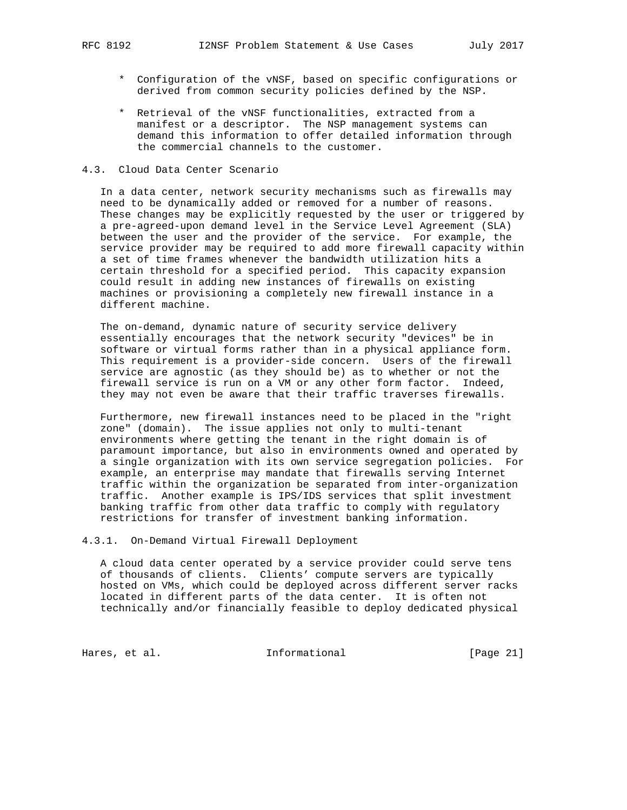- \* Configuration of the vNSF, based on specific configurations or derived from common security policies defined by the NSP.
- \* Retrieval of the vNSF functionalities, extracted from a manifest or a descriptor. The NSP management systems can demand this information to offer detailed information through the commercial channels to the customer.

#### 4.3. Cloud Data Center Scenario

 In a data center, network security mechanisms such as firewalls may need to be dynamically added or removed for a number of reasons. These changes may be explicitly requested by the user or triggered by a pre-agreed-upon demand level in the Service Level Agreement (SLA) between the user and the provider of the service. For example, the service provider may be required to add more firewall capacity within a set of time frames whenever the bandwidth utilization hits a certain threshold for a specified period. This capacity expansion could result in adding new instances of firewalls on existing machines or provisioning a completely new firewall instance in a different machine.

 The on-demand, dynamic nature of security service delivery essentially encourages that the network security "devices" be in software or virtual forms rather than in a physical appliance form. This requirement is a provider-side concern. Users of the firewall service are agnostic (as they should be) as to whether or not the firewall service is run on a VM or any other form factor. Indeed, they may not even be aware that their traffic traverses firewalls.

 Furthermore, new firewall instances need to be placed in the "right zone" (domain). The issue applies not only to multi-tenant environments where getting the tenant in the right domain is of paramount importance, but also in environments owned and operated by a single organization with its own service segregation policies. For example, an enterprise may mandate that firewalls serving Internet traffic within the organization be separated from inter-organization traffic. Another example is IPS/IDS services that split investment banking traffic from other data traffic to comply with regulatory restrictions for transfer of investment banking information.

## 4.3.1. On-Demand Virtual Firewall Deployment

 A cloud data center operated by a service provider could serve tens of thousands of clients. Clients' compute servers are typically hosted on VMs, which could be deployed across different server racks located in different parts of the data center. It is often not technically and/or financially feasible to deploy dedicated physical

Hares, et al. 1nformational [Page 21]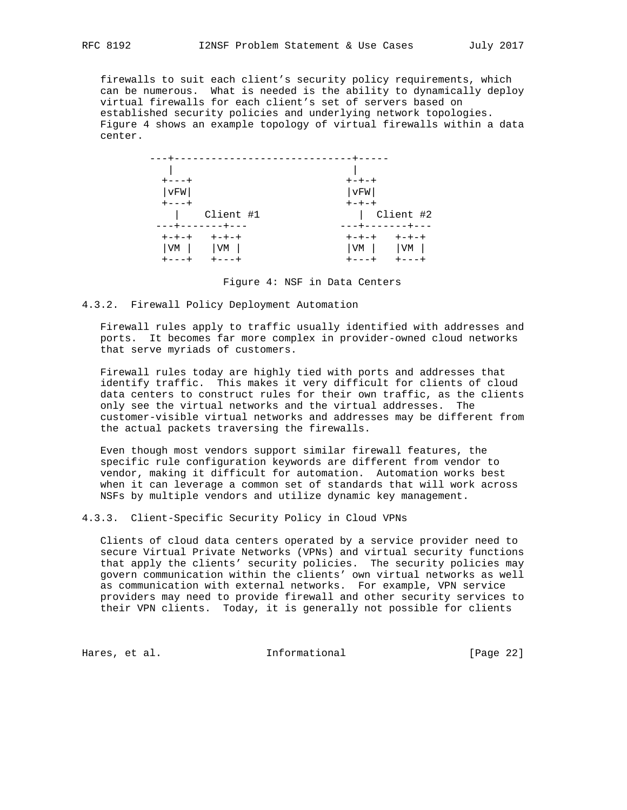firewalls to suit each client's security policy requirements, which can be numerous. What is needed is the ability to dynamically deploy virtual firewalls for each client's set of servers based on established security policies and underlying network topologies. Figure 4 shows an example topology of virtual firewalls within a data center.

|                                                                            | - - - - - - -                                                  |
|----------------------------------------------------------------------------|----------------------------------------------------------------|
|                                                                            |                                                                |
| $+ - - - +$                                                                | $+ - + - +$                                                    |
| vFW                                                                        | vFW                                                            |
| $+ - - - +$                                                                | $+-+ - +$                                                      |
| Client #1<br>---+-------+---                                               | Client #2<br>---+-------+---                                   |
| <b>+++++</b><br>$+ - + - +$<br>$ VM $ $ VM $<br>$+ - - - +$<br>$+ - - - +$ | $+ - + - + - + - +$<br>$ VM $ $ VM $<br>$+---+$<br>$+ - - - +$ |

Figure 4: NSF in Data Centers

#### 4.3.2. Firewall Policy Deployment Automation

 Firewall rules apply to traffic usually identified with addresses and ports. It becomes far more complex in provider-owned cloud networks that serve myriads of customers.

 Firewall rules today are highly tied with ports and addresses that identify traffic. This makes it very difficult for clients of cloud data centers to construct rules for their own traffic, as the clients only see the virtual networks and the virtual addresses. The customer-visible virtual networks and addresses may be different from the actual packets traversing the firewalls.

 Even though most vendors support similar firewall features, the specific rule configuration keywords are different from vendor to vendor, making it difficult for automation. Automation works best when it can leverage a common set of standards that will work across NSFs by multiple vendors and utilize dynamic key management.

#### 4.3.3. Client-Specific Security Policy in Cloud VPNs

 Clients of cloud data centers operated by a service provider need to secure Virtual Private Networks (VPNs) and virtual security functions that apply the clients' security policies. The security policies may govern communication within the clients' own virtual networks as well as communication with external networks. For example, VPN service providers may need to provide firewall and other security services to their VPN clients. Today, it is generally not possible for clients

Hares, et al. 1nformational [Page 22]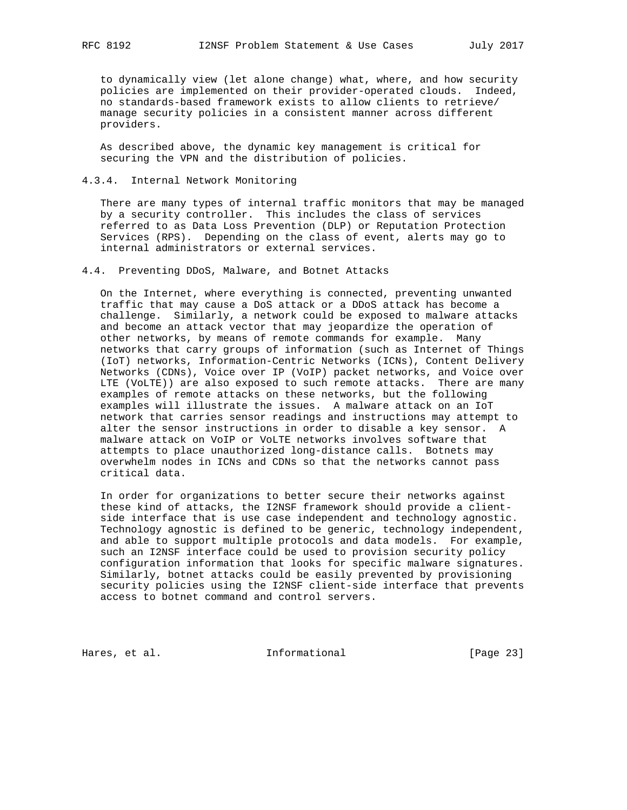to dynamically view (let alone change) what, where, and how security policies are implemented on their provider-operated clouds. Indeed, no standards-based framework exists to allow clients to retrieve/ manage security policies in a consistent manner across different providers.

 As described above, the dynamic key management is critical for securing the VPN and the distribution of policies.

#### 4.3.4. Internal Network Monitoring

 There are many types of internal traffic monitors that may be managed by a security controller. This includes the class of services referred to as Data Loss Prevention (DLP) or Reputation Protection Services (RPS). Depending on the class of event, alerts may go to internal administrators or external services.

#### 4.4. Preventing DDoS, Malware, and Botnet Attacks

 On the Internet, where everything is connected, preventing unwanted traffic that may cause a DoS attack or a DDoS attack has become a challenge. Similarly, a network could be exposed to malware attacks and become an attack vector that may jeopardize the operation of other networks, by means of remote commands for example. Many networks that carry groups of information (such as Internet of Things (IoT) networks, Information-Centric Networks (ICNs), Content Delivery Networks (CDNs), Voice over IP (VoIP) packet networks, and Voice over LTE (VoLTE)) are also exposed to such remote attacks. There are many examples of remote attacks on these networks, but the following examples will illustrate the issues. A malware attack on an IoT network that carries sensor readings and instructions may attempt to alter the sensor instructions in order to disable a key sensor. A malware attack on VoIP or VoLTE networks involves software that attempts to place unauthorized long-distance calls. Botnets may overwhelm nodes in ICNs and CDNs so that the networks cannot pass critical data.

 In order for organizations to better secure their networks against these kind of attacks, the I2NSF framework should provide a client side interface that is use case independent and technology agnostic. Technology agnostic is defined to be generic, technology independent, and able to support multiple protocols and data models. For example, such an I2NSF interface could be used to provision security policy configuration information that looks for specific malware signatures. Similarly, botnet attacks could be easily prevented by provisioning security policies using the I2NSF client-side interface that prevents access to botnet command and control servers.

Hares, et al. 1nformational [Page 23]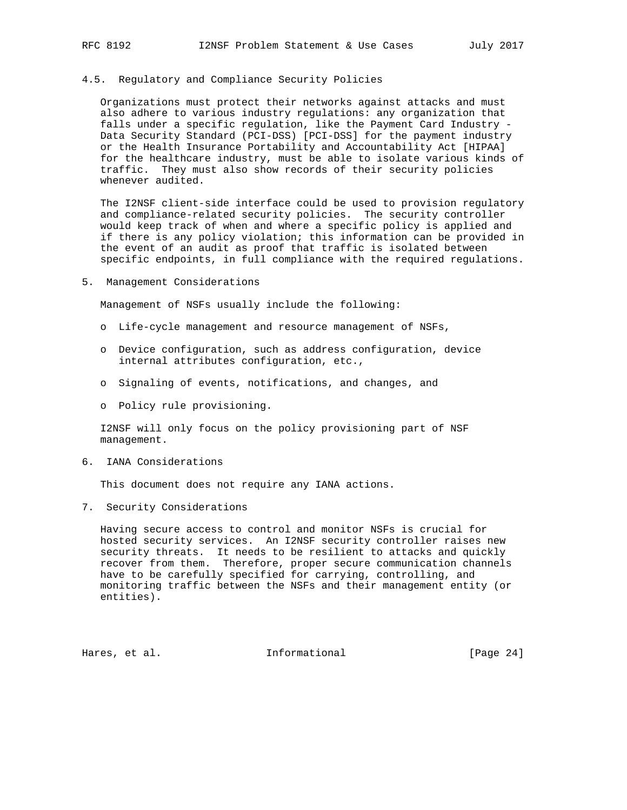#### 4.5. Regulatory and Compliance Security Policies

 Organizations must protect their networks against attacks and must also adhere to various industry regulations: any organization that falls under a specific regulation, like the Payment Card Industry - Data Security Standard (PCI-DSS) [PCI-DSS] for the payment industry or the Health Insurance Portability and Accountability Act [HIPAA] for the healthcare industry, must be able to isolate various kinds of traffic. They must also show records of their security policies whenever audited.

 The I2NSF client-side interface could be used to provision regulatory and compliance-related security policies. The security controller would keep track of when and where a specific policy is applied and if there is any policy violation; this information can be provided in the event of an audit as proof that traffic is isolated between specific endpoints, in full compliance with the required regulations.

5. Management Considerations

Management of NSFs usually include the following:

- o Life-cycle management and resource management of NSFs,
- o Device configuration, such as address configuration, device internal attributes configuration, etc.,
- o Signaling of events, notifications, and changes, and
- o Policy rule provisioning.

 I2NSF will only focus on the policy provisioning part of NSF management.

6. IANA Considerations

This document does not require any IANA actions.

7. Security Considerations

 Having secure access to control and monitor NSFs is crucial for hosted security services. An I2NSF security controller raises new security threats. It needs to be resilient to attacks and quickly recover from them. Therefore, proper secure communication channels have to be carefully specified for carrying, controlling, and monitoring traffic between the NSFs and their management entity (or entities).

Hares, et al. 1nformational [Page 24]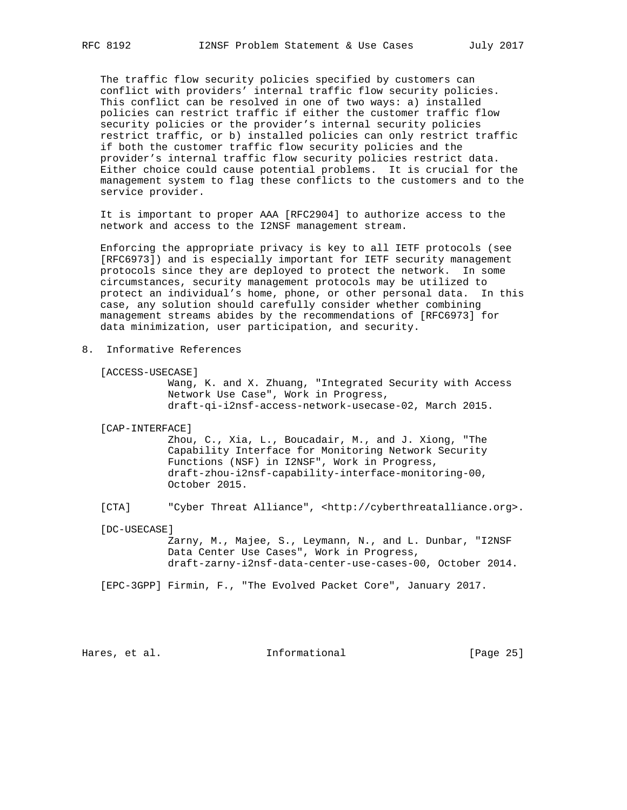The traffic flow security policies specified by customers can conflict with providers' internal traffic flow security policies. This conflict can be resolved in one of two ways: a) installed policies can restrict traffic if either the customer traffic flow security policies or the provider's internal security policies restrict traffic, or b) installed policies can only restrict traffic if both the customer traffic flow security policies and the provider's internal traffic flow security policies restrict data. Either choice could cause potential problems. It is crucial for the management system to flag these conflicts to the customers and to the service provider.

 It is important to proper AAA [RFC2904] to authorize access to the network and access to the I2NSF management stream.

 Enforcing the appropriate privacy is key to all IETF protocols (see [RFC6973]) and is especially important for IETF security management protocols since they are deployed to protect the network. In some circumstances, security management protocols may be utilized to protect an individual's home, phone, or other personal data. In this case, any solution should carefully consider whether combining management streams abides by the recommendations of [RFC6973] for data minimization, user participation, and security.

8. Informative References

[ACCESS-USECASE]

 Wang, K. and X. Zhuang, "Integrated Security with Access Network Use Case", Work in Progress, draft-qi-i2nsf-access-network-usecase-02, March 2015.

[CAP-INTERFACE]

 Zhou, C., Xia, L., Boucadair, M., and J. Xiong, "The Capability Interface for Monitoring Network Security Functions (NSF) in I2NSF", Work in Progress, draft-zhou-i2nsf-capability-interface-monitoring-00, October 2015.

[CTA] "Cyber Threat Alliance", <http://cyberthreatalliance.org>.

[DC-USECASE]

 Zarny, M., Majee, S., Leymann, N., and L. Dunbar, "I2NSF Data Center Use Cases", Work in Progress, draft-zarny-i2nsf-data-center-use-cases-00, October 2014.

[EPC-3GPP] Firmin, F., "The Evolved Packet Core", January 2017.

Hares, et al. 10 Informational 1999 [Page 25]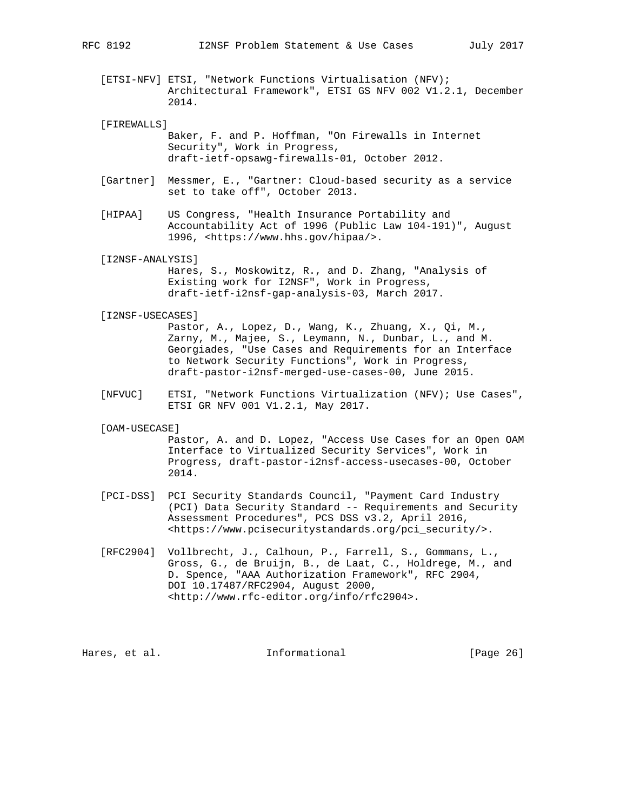[ETSI-NFV] ETSI, "Network Functions Virtualisation (NFV); Architectural Framework", ETSI GS NFV 002 V1.2.1, December 2014.

```
 [FIREWALLS]
```
 Baker, F. and P. Hoffman, "On Firewalls in Internet Security", Work in Progress, draft-ietf-opsawg-firewalls-01, October 2012.

- [Gartner] Messmer, E., "Gartner: Cloud-based security as a service set to take off", October 2013.
- [HIPAA] US Congress, "Health Insurance Portability and Accountability Act of 1996 (Public Law 104-191)", August 1996, <https://www.hhs.gov/hipaa/>.

[I2NSF-ANALYSIS]

 Hares, S., Moskowitz, R., and D. Zhang, "Analysis of Existing work for I2NSF", Work in Progress, draft-ietf-i2nsf-gap-analysis-03, March 2017.

#### [I2NSF-USECASES]

 Pastor, A., Lopez, D., Wang, K., Zhuang, X., Qi, M., Zarny, M., Majee, S., Leymann, N., Dunbar, L., and M. Georgiades, "Use Cases and Requirements for an Interface to Network Security Functions", Work in Progress, draft-pastor-i2nsf-merged-use-cases-00, June 2015.

 [NFVUC] ETSI, "Network Functions Virtualization (NFV); Use Cases", ETSI GR NFV 001 V1.2.1, May 2017.

#### [OAM-USECASE]

 Pastor, A. and D. Lopez, "Access Use Cases for an Open OAM Interface to Virtualized Security Services", Work in Progress, draft-pastor-i2nsf-access-usecases-00, October 2014.

- [PCI-DSS] PCI Security Standards Council, "Payment Card Industry (PCI) Data Security Standard -- Requirements and Security Assessment Procedures", PCS DSS v3.2, April 2016, <https://www.pcisecuritystandards.org/pci\_security/>.
- [RFC2904] Vollbrecht, J., Calhoun, P., Farrell, S., Gommans, L., Gross, G., de Bruijn, B., de Laat, C., Holdrege, M., and D. Spence, "AAA Authorization Framework", RFC 2904, DOI 10.17487/RFC2904, August 2000, <http://www.rfc-editor.org/info/rfc2904>.

Hares, et al.  $I_n$  informational [Page 26]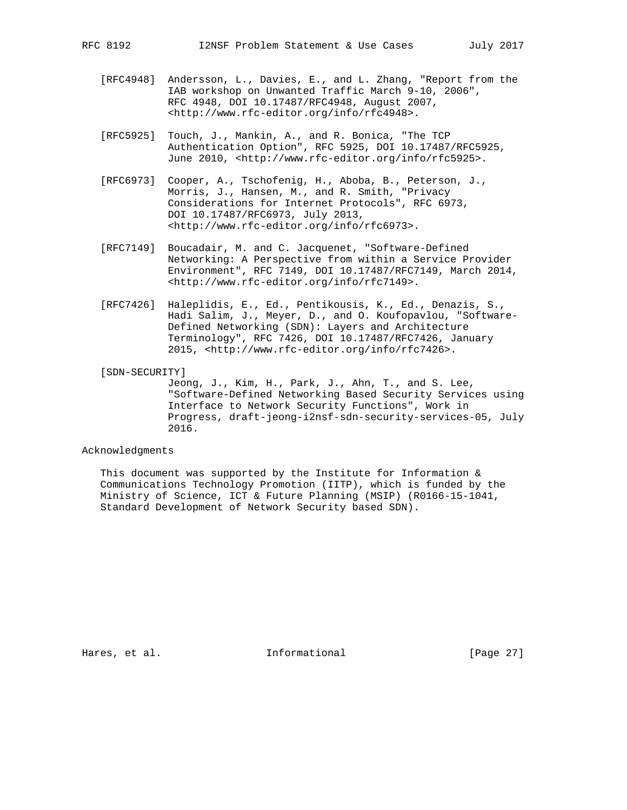- [RFC4948] Andersson, L., Davies, E., and L. Zhang, "Report from the IAB workshop on Unwanted Traffic March 9-10, 2006", RFC 4948, DOI 10.17487/RFC4948, August 2007, <http://www.rfc-editor.org/info/rfc4948>.
- [RFC5925] Touch, J., Mankin, A., and R. Bonica, "The TCP Authentication Option", RFC 5925, DOI 10.17487/RFC5925, June 2010, <http://www.rfc-editor.org/info/rfc5925>.
- [RFC6973] Cooper, A., Tschofenig, H., Aboba, B., Peterson, J., Morris, J., Hansen, M., and R. Smith, "Privacy Considerations for Internet Protocols", RFC 6973, DOI 10.17487/RFC6973, July 2013, <http://www.rfc-editor.org/info/rfc6973>.
- [RFC7149] Boucadair, M. and C. Jacquenet, "Software-Defined Networking: A Perspective from within a Service Provider Environment", RFC 7149, DOI 10.17487/RFC7149, March 2014, <http://www.rfc-editor.org/info/rfc7149>.
- [RFC7426] Haleplidis, E., Ed., Pentikousis, K., Ed., Denazis, S., Hadi Salim, J., Meyer, D., and O. Koufopavlou, "Software- Defined Networking (SDN): Layers and Architecture Terminology", RFC 7426, DOI 10.17487/RFC7426, January 2015, <http://www.rfc-editor.org/info/rfc7426>.
- [SDN-SECURITY]

 Jeong, J., Kim, H., Park, J., Ahn, T., and S. Lee, "Software-Defined Networking Based Security Services using Interface to Network Security Functions", Work in Progress, draft-jeong-i2nsf-sdn-security-services-05, July 2016.

#### Acknowledgments

This document was supported by the Institute for Information  $\&$  Communications Technology Promotion (IITP), which is funded by the Ministry of Science, ICT & Future Planning (MSIP) (R0166-15-1041, Standard Development of Network Security based SDN).

Hares, et al. 1nformational [Page 27]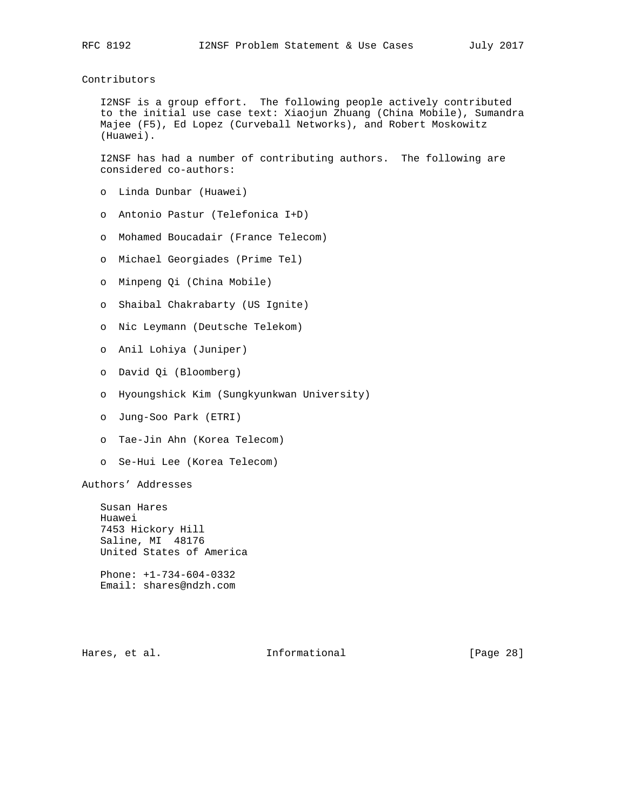# Contributors

 I2NSF is a group effort. The following people actively contributed to the initial use case text: Xiaojun Zhuang (China Mobile), Sumandra Majee (F5), Ed Lopez (Curveball Networks), and Robert Moskowitz (Huawei).

 I2NSF has had a number of contributing authors. The following are considered co-authors:

- o Linda Dunbar (Huawei)
- o Antonio Pastur (Telefonica I+D)
- o Mohamed Boucadair (France Telecom)
- o Michael Georgiades (Prime Tel)
- o Minpeng Qi (China Mobile)
- o Shaibal Chakrabarty (US Ignite)
- o Nic Leymann (Deutsche Telekom)
- o Anil Lohiya (Juniper)
- o David Qi (Bloomberg)
- o Hyoungshick Kim (Sungkyunkwan University)
- o Jung-Soo Park (ETRI)
- o Tae-Jin Ahn (Korea Telecom)
- o Se-Hui Lee (Korea Telecom)

Authors' Addresses

 Susan Hares Huawei 7453 Hickory Hill Saline, MI 48176 United States of America

 Phone: +1-734-604-0332 Email: shares@ndzh.com

Hares, et al. 1nformational [Page 28]